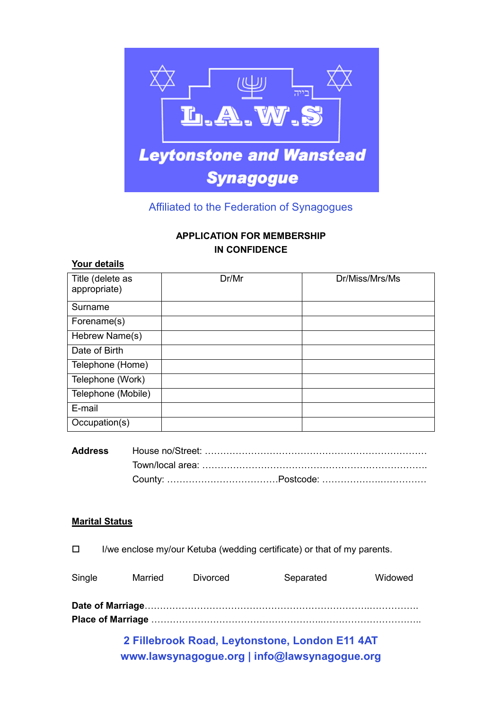

# Affiliated to the Federation of Synagogues

## **APPLICATION FOR MEMBERSHIP IN CONFIDENCE**

### **Your details**

| Title (delete as<br>appropriate) | Dr/Mr | Dr/Miss/Mrs/Ms |
|----------------------------------|-------|----------------|
| Surname                          |       |                |
| Forename(s)                      |       |                |
| Hebrew Name(s)                   |       |                |
| Date of Birth                    |       |                |
| Telephone (Home)                 |       |                |
| Telephone (Work)                 |       |                |
| Telephone (Mobile)               |       |                |
| E-mail                           |       |                |
| Occupation(s)                    |       |                |

# **Address** House no/Street: (((((((((((((((((((((((( Town/local area: ((((((((((((((((((((((((. County: ((((((((((((Postcode: ((((((.(((((

## **Marital Status**

| $\Box$ |         |          | I/we enclose my/our Ketuba (wedding certificate) or that of my parents. |         |
|--------|---------|----------|-------------------------------------------------------------------------|---------|
| Single | Married | Divorced | Separated                                                               | Widowed |
|        |         |          |                                                                         |         |

**2 Fillebrook Road, Leytonstone, London E11 4AT Place of Marriage** ((((((((((((((((((..((((((((((..

**www.lawsynagogue.org | info@lawsynagogue.org**